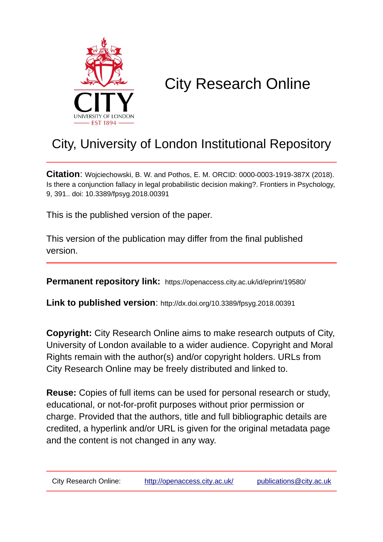

# City Research Online

## City, University of London Institutional Repository

**Citation**: Wojciechowski, B. W. and Pothos, E. M. ORCID: 0000-0003-1919-387X (2018). Is there a conjunction fallacy in legal probabilistic decision making?. Frontiers in Psychology, 9, 391.. doi: 10.3389/fpsyg.2018.00391

This is the published version of the paper.

This version of the publication may differ from the final published version.

**Permanent repository link:** https://openaccess.city.ac.uk/id/eprint/19580/

**Link to published version**: http://dx.doi.org/10.3389/fpsyg.2018.00391

**Copyright:** City Research Online aims to make research outputs of City, University of London available to a wider audience. Copyright and Moral Rights remain with the author(s) and/or copyright holders. URLs from City Research Online may be freely distributed and linked to.

**Reuse:** Copies of full items can be used for personal research or study, educational, or not-for-profit purposes without prior permission or charge. Provided that the authors, title and full bibliographic details are credited, a hyperlink and/or URL is given for the original metadata page and the content is not changed in any way.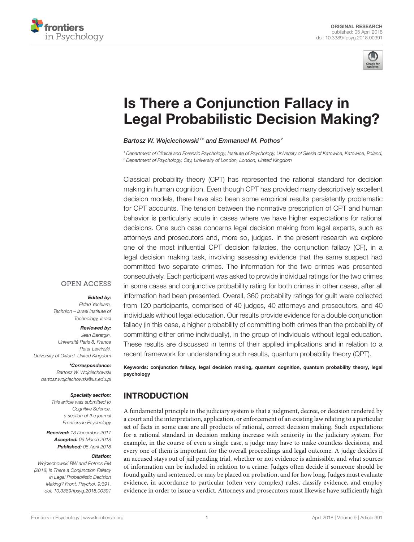



## Is There a Conjunction Fallacy in [Legal Probabilistic Decision Making?](https://www.frontiersin.org/articles/10.3389/fpsyg.2018.00391/full)

#### [Bartosz W. Wojciechowski](http://loop.frontiersin.org/people/507367/overview) 1\* and [Emmanuel M. Pothos](http://loop.frontiersin.org/people/9670/overview)<sup>2</sup>

<sup>1</sup> Department of Clinical and Forensic Psychology, Institute of Psychology, University of Silesia of Katowice, Katowice, Poland, <sup>2</sup> Department of Psychology, City, University of London, London, United Kingdom

Classical probability theory (CPT) has represented the rational standard for decision making in human cognition. Even though CPT has provided many descriptively excellent decision models, there have also been some empirical results persistently problematic for CPT accounts. The tension between the normative prescription of CPT and human behavior is particularly acute in cases where we have higher expectations for rational decisions. One such case concerns legal decision making from legal experts, such as attorneys and prosecutors and, more so, judges. In the present research we explore one of the most influential CPT decision fallacies, the conjunction fallacy (CF), in a legal decision making task, involving assessing evidence that the same suspect had committed two separate crimes. The information for the two crimes was presented consecutively. Each participant was asked to provide individual ratings for the two crimes in some cases and conjunctive probability rating for both crimes in other cases, after all information had been presented. Overall, 360 probability ratings for guilt were collected from 120 participants, comprised of 40 judges, 40 attorneys and prosecutors, and 40 individuals without legal education. Our results provide evidence for a double conjunction fallacy (in this case, a higher probability of committing both crimes than the probability of committing either crime individually), in the group of individuals without legal education. These results are discussed in terms of their applied implications and in relation to a recent framework for understanding such results, quantum probability theory (QPT).

Keywords: conjunction fallacy, legal decision making, quantum cognition, quantum probability theory, legal

psychology

## INTRODUCTION

A fundamental principle in the judiciary system is that a judgment, decree, or decision rendered by a court and the interpretation, application, or enforcement of an existing law relating to a particular set of facts in some case are all products of rational, correct decision making. Such expectations for a rational standard in decision making increase with seniority in the judiciary system. For example, in the course of even a single case, a judge may have to make countless decisions, and every one of them is important for the overall proceedings and legal outcome. A judge decides if an accused stays out of jail pending trial, whether or not evidence is admissible, and what sources of information can be included in relation to a crime. Judges often decide if someone should be found guilty and sentenced, or may be placed on probation, and for how long. Judges must evaluate evidence, in accordance to particular (often very complex) rules, classify evidence, and employ evidence in order to issue a verdict. Attorneys and prosecutors must likewise have sufficiently high

#### **OPEN ACCESS**

#### Edited by:

Eldad Yechiam, Technion – Israel Institute of Technology, Israel

#### Reviewed by:

Jean Baratgin, Université Paris 8, France Peter Lewinski, University of Oxford, United Kingdom

#### \*Correspondence:

Bartosz W. Wojciechowski [bartosz.wojciechowski@us.edu.pl](mailto:bartosz.wojciechowski@us.edu.pl)

#### Specialty section:

This article was submitted to Cognitive Science, a section of the journal Frontiers in Psychology

Received: 13 December 2017 Accepted: 09 March 2018 Published: 05 April 2018

#### Citation:

Wojciechowski BW and Pothos EM (2018) Is There a Conjunction Fallacy in Legal Probabilistic Decision Making? Front. Psychol. 9:391. doi: [10.3389/fpsyg.2018.00391](https://doi.org/10.3389/fpsyg.2018.00391)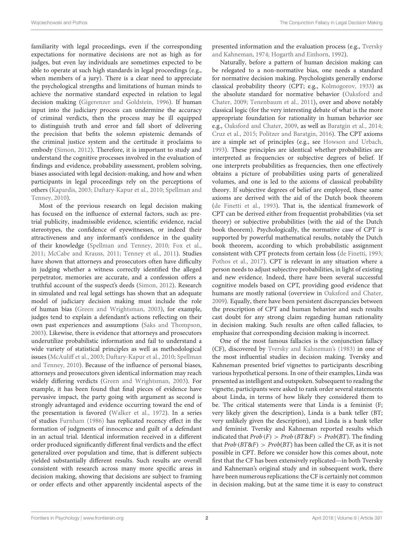familiarity with legal proceedings, even if the corresponding expectations for normative decisions are not as high as for judges, but even lay individuals are sometimes expected to be able to operate at such high standards in legal proceedings (e.g., when members of a jury). There is a clear need to appreciate the psychological strengths and limitations of human minds to achieve the normative standard expected in relation to legal decision making [\(Gigerenzer and Goldstein, 1996\)](#page-11-0). If human input into the judiciary process can undermine the accuracy of criminal verdicts, then the process may be ill equipped to distinguish truth and error and fall short of delivering the precision that befits the solemn epistemic demands of the criminal justice system and the certitude it proclaims to embody [\(Simon, 2012\)](#page-11-1). Therefore, it is important to study and understand the cognitive processes involved in the evaluation of findings and evidence, probability assessment, problem solving, biases associated with legal decision-making, and how and when participants in legal proceedings rely on the perceptions of others [\(Kapardis, 2003;](#page-11-2) [Daftary-Kapur et al., 2010;](#page-10-0) Spellman and Tenney, [2010\)](#page-11-3).

Most of the previous research on legal decision making has focused on the influence of external factors, such as: pretrial publicity, inadmissible evidence, scientific evidence, racial stereotypes, the confidence of eyewitnesses, or indeed their attractiveness and any informant's confidence in the quality of their knowledge [\(Spellman and Tenney, 2010;](#page-11-3) [Fox et al.,](#page-11-4) [2011;](#page-11-4) [McCabe and Krauss, 2011;](#page-11-5) [Tenney et al., 2011\)](#page-11-6). Studies have shown that attorneys and prosecutors often have difficulty in judging whether a witness correctly identified the alleged perpetrator, memories are accurate, and a confession offers a truthful account of the suspect's deeds [\(Simon, 2012\)](#page-11-1). Research in simulated and real legal settings has shown that an adequate model of judiciary decision making must include the role of human bias [\(Green and Wrightsman, 2003\)](#page-11-7), for example, judges tend to explain a defendant's actions reflecting on their own past experiences and assumptions [\(Saks and Thompson,](#page-11-8) [2003\)](#page-11-8). Likewise, there is evidence that attorneys and prosecutors underutilize probabilistic information and fail to understand a wide variety of statistical principles as well as methodological issues [\(McAuliff et al., 2003;](#page-11-9) [Daftary-Kapur et al., 2010;](#page-10-0) Spellman and Tenney, [2010\)](#page-11-3). Because of the influence of personal biases, attorneys and prosecutors given identical information may reach widely differing verdicts [\(Green and Wrightsman, 2003\)](#page-11-7). For example, it has been found that final pieces of evidence have pervasive impact, the party going with argument as second is strongly advantaged and evidence occurring toward the end of the presentation is favored [\(Walker et al., 1972\)](#page-11-10). In a series of studies [Furnham \(1986\)](#page-11-11) has replicated recency effect in the formation of judgments of innocence and guilt of a defendant in an actual trial. Identical information received in a different order produced significantly different final verdicts and the effect generalized over population and time, that is different subjects yielded substantially different results. Such results are overall consistent with research across many more specific areas in decision making, showing that decisions are subject to framing or order effects and other apparently incidental aspects of the presented information and the evaluation process (e.g., Tversky and Kahneman, [1974;](#page-11-12) [Hogarth and Einhorn, 1992\)](#page-11-13).

Naturally, before a pattern of human decision making can be relegated to a non-normative bias, one needs a standard for normative decision making. Psychologists generally endorse classical probability theory (CPT; e.g., [Kolmogorov, 1933\)](#page-11-14) as the absolute standard for normative behavior (Oaksford and Chater, [2009;](#page-11-15) [Tenenbaum et al., 2011\)](#page-11-16), over and above notably classical logic (for the very interesting debate of what is the more appropriate foundation for rationality in human behavior see e.g., [Oaksford and Chater, 2009,](#page-11-15) as well as [Baratgin et al., 2014;](#page-10-1) [Cruz et al., 2015;](#page-10-2) [Politzer and Baratgin, 2016\)](#page-11-17). The CPT axioms are a simple set of principles (e.g., see [Howson and Urbach,](#page-11-18) [1993\)](#page-11-18). These principles are identical whether probabilities are interpreted as frequencies or subjective degrees of belief. If one interprets probabilities as frequencies, then one effectively obtains a picture of probabilities using parts of generalized volumes, and one is led to the axioms of classical probability theory. If subjective degrees of belief are employed, these same axioms are derived with the aid of the Dutch book theorem [\(de Finetti et al., 1993\)](#page-10-3). That is, the identical framework of CPT can be derived either from frequentist probabilities (via set theory) or subjective probabilities (with the aid of the Dutch book theorem). Psychologically, the normative case of CPT is supported by powerful mathematical results, notably the Dutch book theorem, according to which probabilistic assignment consistent with CPT protects from certain loss [\(de Finetti, 1993;](#page-10-4) [Pothos et al., 2017\)](#page-11-19). CPT is relevant in any situation where a person needs to adjust subjective probabilities, in light of existing and new evidence. Indeed, there have been several successful cognitive models based on CPT, providing good evidence that humans are mostly rational (overview in [Oaksford and Chater,](#page-11-15) [2009\)](#page-11-15). Equally, there have been persistent discrepancies between the prescription of CPT and human behavior and such results cast doubt for any strong claim regarding human rationality in decision making. Such results are often called fallacies, to emphasize that corresponding decision making is incorrect.

One of the most famous fallacies is the conjunction fallacy (CF), discovered by [Tversky and Kahneman's \(1983\)](#page-11-20) in one of the most influential studies in decision making. Tversky and Kahneman presented brief vignettes to participants describing various hypothetical persons. In one of their examples, Linda was presented as intelligent and outspoken. Subsequent to reading the vignette, participants were asked to rank order several statements about Linda, in terms of how likely they considered them to be. The critical statements were that Linda is a feminist (F; very likely given the description), Linda is a bank teller (BT; very unlikely given the description), and Linda is a bank teller and feminist. Tversky and Kahneman reported results which indicated that  $Prob(F) > Prob(BT \& F) > Prob(BT)$ . The finding that  $Prob(BT\&F) > Prob(BT)$  has been called the CF, as it is not possible in CPT. Before we consider how this comes about, note first that the CF has been extensively replicated—in both Tversky and Kahneman's original study and in subsequent work, there have been numerous replications: the CF is certainly not common in decision making, but at the same time it is easy to construct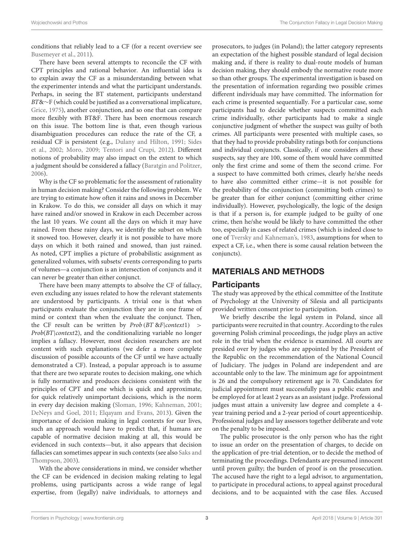conditions that reliably lead to a CF (for a recent overview see [Busemeyer et al., 2011\)](#page-10-5).

There have been several attempts to reconcile the CF with CPT principles and rational behavior. An influential idea is to explain away the CF as a misunderstanding between what the experimenter intends and what the participant understands. Perhaps, in seeing the BT statement, participants understand BT&∼F (which could be justified as a conversational implicature, [Grice, 1975\)](#page-11-21), another conjunction, and so one that can compare more flexibly with BT&F. There has been enormous research on this issue. The bottom line is that, even though various disambiguation procedures can reduce the rate of the CF, a residual CF is persistent (e.g., [Dulany and Hilton, 1991;](#page-10-6) Sides et al., [2002;](#page-11-22) [Moro, 2009;](#page-11-23) [Tentori and Crupi, 2012\)](#page-11-24). Different notions of probability may also impact on the extent to which a judgment should be considered a fallacy [\(Baratgin and Politzer,](#page-10-7) [2006\)](#page-10-7).

Why is the CF so problematic for the assessment of rationality in human decision making? Consider the following problem. We are trying to estimate how often it rains and snows in December in Krakow. To do this, we consider all days on which it may have rained and/or snowed in Krakow in each December across the last 10 years. We count all the days on which it may have rained. From these rainy days, we identify the subset on which it snowed too. However, clearly it is not possible to have more days on which it both rained and snowed, than just rained. As noted, CPT implies a picture of probabilistic assignment as generalized volumes, with subsets/ events corresponding to parts of volumes—a conjunction is an intersection of conjuncts and it can never be greater than either conjunct.

There have been many attempts to absolve the CF of fallacy, even excluding any issues related to how the relevant statements are understood by participants. A trivial one is that when participants evaluate the conjunction they are in one frame of mind or context than when the evaluate the conjunct. Then, the CF result can be written by  $Prob (BT \& F|context1)$  > Prob(BT|context2), and the conditionalizing variable no longer implies a fallacy. However, most decision researchers are not content with such explanations (we defer a more complete discussion of possible accounts of the CF until we have actually demonstrated a CF). Instead, a popular approach is to assume that there are two separate routes to decision making, one which is fully normative and produces decisions consistent with the principles of CPT and one which is quick and approximate, for quick relatively unimportant decisions, which is the norm in every day decision making [\(Sloman, 1996;](#page-11-25) [Kahneman, 2001;](#page-11-26) [DeNeys and Goel, 2011;](#page-10-8) [Elqayam and Evans, 2013\)](#page-10-9). Given the importance of decision making in legal contexts for our lives, such an approach would have to predict that, if humans are capable of normative decision making at all, this would be evidenced in such contexts—but, it also appears that decision fallacies can sometimes appear in such contexts (see also Saks and Thompson, [2003\)](#page-11-8).

With the above considerations in mind, we consider whether the CF can be evidenced in decision making relating to legal problems, using participants across a wide range of legal expertise, from (legally) naïve individuals, to attorneys and prosecutors, to judges (in Poland); the latter category represents an expectation of the highest possible standard of legal decision making and, if there is reality to dual-route models of human decision making, they should embody the normative route more so than other groups. The experimental investigation is based on the presentation of information regarding two possible crimes different individuals may have committed. The information for each crime is presented sequentially. For a particular case, some participants had to decide whether suspects committed each crime individually, other participants had to make a single conjunctive judgment of whether the suspect was guilty of both crimes. All participants were presented with multiple cases, so that they had to provide probability ratings both for conjunctions and individual conjuncts. Classically, if one considers all these suspects, say they are 100, some of them would have committed only the first crime and some of them the second crime. For a suspect to have committed both crimes, clearly he/she needs to have also committed either crime—it is not possible for the probability of the conjunction (committing both crimes) to be greater than for either conjunct (committing either crime individually). However, psychologically, the logic of the design is that if a person is, for example judged to be guilty of one crime, then he/she would be likely to have committed the other too, especially in cases of related crimes (which is indeed close to one of [Tversky and Kahneman's, 1983,](#page-11-20) assumptions for when to expect a CF, i.e., when there is some causal relation between the conjuncts).

## MATERIALS AND METHODS

### **Participants**

The study was approved by the ethical committee of the Institute of Psychology at the University of Silesia and all participants provided written consent prior to participation.

We briefly describe the legal system in Poland, since all participants were recruited in that country. According to the rules governing Polish criminal proceedings, the judge plays an active role in the trial when the evidence is examined. All courts are presided over by judges who are appointed by the President of the Republic on the recommendation of the National Council of Judiciary. The judges in Poland are independent and are accountable only to the law. The minimum age for appointment is 26 and the compulsory retirement age is 70. Candidates for judicial appointment must successfully pass a public exam and be employed for at least 2 years as an assistant judge. Professional judges must attain a university law degree and complete a 4 year training period and a 2-year period of court apprenticeship. Professional judges and lay assessors together deliberate and vote on the penalty to be imposed.

The public prosecutor is the only person who has the right to issue an order on the presentation of charges, to decide on the application of pre-trial detention, or to decide the method of terminating the proceedings. Defendants are presumed innocent until proven guilty; the burden of proof is on the prosecution. The accused have the right to a legal advisor, to argumentation, to participate in procedural actions, to appeal against procedural decisions, and to be acquainted with the case files. Accused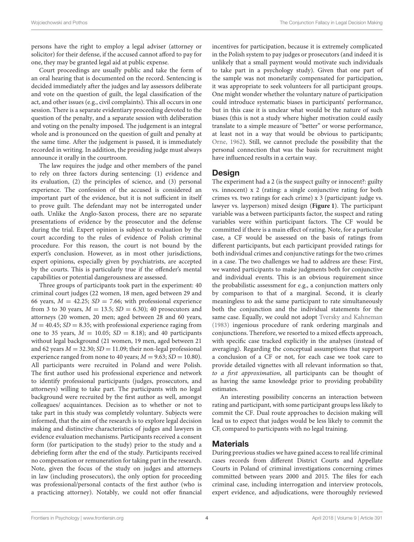persons have the right to employ a legal adviser (attorney or solicitor) for their defense, if the accused cannot afford to pay for one, they may be granted legal aid at public expense.

Court proceedings are usually public and take the form of an oral hearing that is documented on the record. Sentencing is decided immediately after the judges and lay assessors deliberate and vote on the question of guilt, the legal classification of the act, and other issues (e.g., civil complaints). This all occurs in one session. There is a separate evidentiary proceeding devoted to the question of the penalty, and a separate session with deliberation and voting on the penalty imposed. The judgement is an integral whole and is pronounced on the question of guilt and penalty at the same time. After the judgement is passed, it is immediately recorded in writing. In addition, the presiding judge must always announce it orally in the courtroom.

The law requires the judge and other members of the panel to rely on three factors during sentencing: (1) evidence and its evaluation, (2) the principles of science, and (3) personal experience. The confession of the accused is considered an important part of the evidence, but it is not sufficient in itself to prove guilt. The defendant may not be interrogated under oath. Unlike the Anglo-Saxon process, there are no separate presentations of evidence by the prosecutor and the defense during the trial. Expert opinion is subject to evaluation by the court according to the rules of evidence of Polish criminal procedure. For this reason, the court is not bound by the expert's conclusion. However, as in most other jurisdictions, expert opinions, especially given by psychiatrists, are accepted by the courts. This is particularly true if the offender's mental capabilities or potential dangerousness are assessed.

Three groups of participants took part in the experiment: 40 criminal court judges (22 women, 18 men, aged between 29 and 66 years,  $M = 42.25$ ;  $SD = 7.66$ ; with professional experience from 3 to 30 years,  $M = 13.5$ ;  $SD = 6.30$ ; 40 prosecutors and attorneys (20 women, 20 men; aged between 28 and 60 years,  $M = 40.45$ ;  $SD = 8.35$ ; with professional experience raging from one to 35 years,  $M = 10.05$ ;  $SD = 8.18$ ); and 40 participants without legal background (21 women, 19 men, aged between 21 and 62 years  $M = 32.30$ ;  $SD = 11.09$ ; their non-legal professional experience ranged from none to 40 years;  $M = 9.63$ ;  $SD = 10.80$ ). All participants were recruited in Poland and were Polish. The first author used his professional experience and network to identify professional participants (judges, prosecutors, and attorneys) willing to take part. The participants with no legal background were recruited by the first author as well, amongst colleagues/ acquaintances. Decision as to whether or not to take part in this study was completely voluntary. Subjects were informed, that the aim of the research is to explore legal decision making and distinctive characteristics of judges and lawyers in evidence evaluation mechanisms. Participants received a consent form (for participation to the study) prior to the study and a debriefing form after the end of the study. Participants received no compensation or remuneration for taking part in the research. Note, given the focus of the study on judges and attorneys in law (including prosecutors), the only option for proceeding was professional/personal contacts of the first author (who is a practicing attorney). Notably, we could not offer financial incentives for participation, because it is extremely complicated in the Polish system to pay judges or prosecutors (and indeed it is unlikely that a small payment would motivate such individuals to take part in a psychology study). Given that one part of the sample was not monetarily compensated for participation, it was appropriate to seek volunteers for all participant groups. One might wonder whether the voluntary nature of participation could introduce systematic biases in participants' performance, but in this case it is unclear what would be the nature of such biases (this is not a study where higher motivation could easily translate to a simple measure of "better" or worse performance, at least not in a way that would be obvious to participants; [Orne, 1962\)](#page-11-27). Still, we cannot preclude the possibility that the personal connection that was the basis for recruitment might have influenced results in a certain way.

#### **Design**

The experiment had a 2 (is the suspect guilty or innocent?: guilty vs. innocent) x 2 (rating: a single conjunctive rating for both crimes vs. two ratings for each crime) x 3 (participant: judge vs. lawyer vs. layperson) mixed design (**[Figure 1](#page-5-0)**). The participant variable was a between participants factor, the suspect and rating variables were within participant factors. The CF would be committed if there is a main effect of rating. Note, for a particular case, a CF would be assessed on the basis of ratings from different participants, but each participant provided ratings for both individual crimes and conjunctive ratings for the two crimes in a case. The two challenges we had to address are these: First, we wanted participants to make judgments both for conjunctive and individual events. This is an obvious requirement since the probabilistic assessment for e.g., a conjunction matters only by comparison to that of a marginal. Second, it is clearly meaningless to ask the same participant to rate simultaneously both the conjunction and the individual statements for the same case. Equally, we could not adopt [Tversky and Kahneman](#page-11-20) [\(1983\)](#page-11-20) ingenious procedure of rank ordering marginals and conjunctions. Therefore, we resorted to a mixed effects approach, with specific case tracked explicitly in the analyses (instead of averaging). Regarding the conceptual assumptions that support a conclusion of a CF or not, for each case we took care to provide detailed vignettes with all relevant information so that, to a first approximation, all participants can be thought of as having the same knowledge prior to providing probability estimates.

An interesting possibility concerns an interaction between rating and participant, with some participant groups less likely to commit the CF. Dual route approaches to decision making will lead us to expect that judges would be less likely to commit the CF, compared to participants with no legal training.

#### **Materials**

During previous studies we have gained access to real life criminal cases records from different District Courts and Appellate Courts in Poland of criminal investigations concerning crimes committed between years 2000 and 2015. The files for each criminal case, including interrogation and interview protocols, expert evidence, and adjudications, were thoroughly reviewed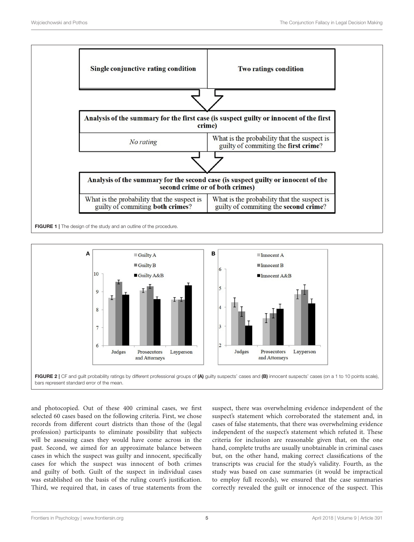

<span id="page-5-0"></span>

<span id="page-5-1"></span>and photocopied. Out of these 400 criminal cases, we first selected 60 cases based on the following criteria. First, we chose records from different court districts than those of the (legal profession) participants to eliminate possibility that subjects will be assessing cases they would have come across in the past. Second, we aimed for an approximate balance between cases in which the suspect was guilty and innocent, specifically cases for which the suspect was innocent of both crimes and guilty of both. Guilt of the suspect in individual cases was established on the basis of the ruling court's justification. Third, we required that, in cases of true statements from the suspect, there was overwhelming evidence independent of the suspect's statement which corroborated the statement and, in cases of false statements, that there was overwhelming evidence independent of the suspect's statement which refuted it. These criteria for inclusion are reasonable given that, on the one hand, complete truths are usually unobtainable in criminal cases but, on the other hand, making correct classifications of the transcripts was crucial for the study's validity. Fourth, as the study was based on case summaries (it would be impractical to employ full records), we ensured that the case summaries correctly revealed the guilt or innocence of the suspect. This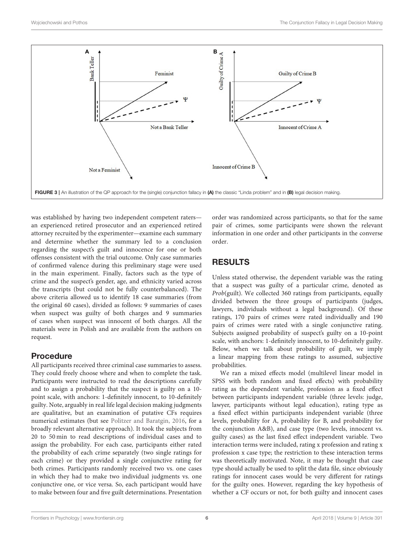

<span id="page-6-0"></span>was established by having two independent competent raters an experienced retired prosecutor and an experienced retired attorney recruited by the experimenter—examine each summary and determine whether the summary led to a conclusion regarding the suspect's guilt and innocence for one or both offenses consistent with the trial outcome. Only case summaries of confirmed valence during this preliminary stage were used in the main experiment. Finally, factors such as the type of crime and the suspect's gender, age, and ethnicity varied across the transcripts (but could not be fully counterbalanced). The above criteria allowed us to identify 18 case summaries (from the original 60 cases), divided as follows: 9 summaries of cases when suspect was guilty of both charges and 9 summaries of cases when suspect was innocent of both charges. All the materials were in Polish and are available from the authors on request.

## Procedure

All participants received three criminal case summaries to assess. They could freely choose where and when to complete the task. Participants were instructed to read the descriptions carefully and to assign a probability that the suspect is guilty on a 10 point scale, with anchors: 1-definitely innocent, to 10-definitely guilty. Note, arguably in real life legal decision making judgments are qualitative, but an examination of putative CFs requires numerical estimates (but see [Politzer and Baratgin, 2016,](#page-11-17) for a broadly relevant alternative approach). It took the subjects from 20 to 50 min to read descriptions of individual cases and to assign the probability. For each case, participants either rated the probability of each crime separately (two single ratings for each crime) or they provided a single conjunctive rating for both crimes. Participants randomly received two vs. one cases in which they had to make two individual judgments vs. one conjunctive one, or vice versa. So, each participant would have to make between four and five guilt determinations. Presentation order was randomized across participants, so that for the same pair of crimes, some participants were shown the relevant information in one order and other participants in the converse order.

## RESULTS

Unless stated otherwise, the dependent variable was the rating that a suspect was guilty of a particular crime, denoted as Prob(guilt). We collected 360 ratings from participants, equally divided between the three groups of participants (judges, lawyers, individuals without a legal background). Of these ratings, 170 pairs of crimes were rated individually and 190 pairs of crimes were rated with a single conjunctive rating. Subjects assigned probability of suspect's guilty on a 10-point scale, with anchors: 1-definitely innocent, to 10-definitely guilty. Below, when we talk about probability of guilt, we imply a linear mapping from these ratings to assumed, subjective probabilities.

We ran a mixed effects model (multilevel linear model in SPSS with both random and fixed effects) with probability rating as the dependent variable, profession as a fixed effect between participants independent variable (three levels: judge, lawyer, participants without legal education), rating type as a fixed effect within participants independent variable (three levels, probability for A, probability for B, and probability for the conjunction A&B), and case type (two levels, innocent vs. guilty cases) as the last fixed effect independent variable. Two interaction terms were included, rating x profession and rating x profession x case type; the restriction to these interaction terms was theoretically motivated. Note, it may be thought that case type should actually be used to split the data file, since obviously ratings for innocent cases would be very different for ratings for the guilty ones. However, regarding the key hypothesis of whether a CF occurs or not, for both guilty and innocent cases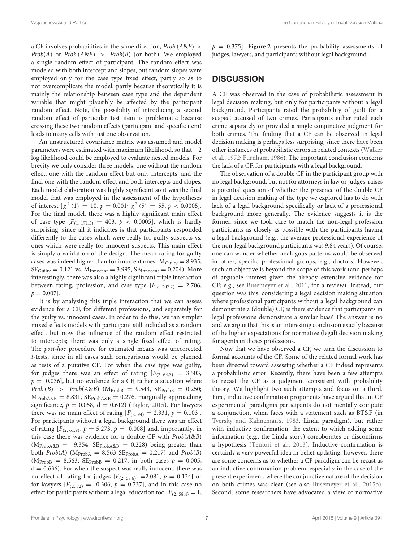a CF involves probabilities in the same direction, Prob (A&B) >  $Prob(A)$  or  $Prob(A&B) > Prob(B)$  (or both). We employed a single random effect of participant. The random effect was modeled with both intercept and slopes, but random slopes were employed only for the case type fixed effect, partly so as to not overcomplicate the model, partly because theoretically it is mainly the relationship between case type and the dependent variable that might plausibly be affected by the participant random effect. Note, the possibility of introducing a second random effect of particular test item is problematic because crossing these two random effects (participant and specific item) leads to many cells with just one observation.

An unstructured covariance matrix was assumed and model parameters were estimated with maximum likelihood, so that −2 log likelihood could be employed to evaluate nested models. For brevity we only consider three models, one without the random effect, one with the random effect but only intercepts, and the final one with the random effect and both intercepts and slopes. Each model elaboration was highly significant so it was the final model that was employed in the assessment of the hypotheses of interest  $[\chi^2(1) = 10, p = 0.001; \chi^2(5) = 55, p < 0.0005]$ . For the final model, there was a highly significant main effect of case type  $[F_{(1, 171.5)} = 403, p < 0.0005]$ , which is hardly surprising, since all it indicates is that participants responded differently to the cases which were really for guilty suspects vs. ones which were really for innocent suspects. This main effect is simply a validation of the design. The mean rating for guilty cases was indeed higher than for innocent ones  $[M_{\text{Gulity}} = 8.935,$  $SE_{Gulity} = 0.121$  vs.  $M_{Innocent} = 3.995$ ,  $SE_{Innocent} = 0.204$ ). More interestingly, there was also a highly significant triple interaction between rating, profession, and case type  $[F_{(8, 207.2)} = 2.706,$  $p = 0.007$ .

It is by analyzing this triple interaction that we can assess evidence for a CF, for different professions, and separately for the guilty vs. innocent cases. In order to do this, we ran simpler mixed effects models with participant still included as a random effect, but now the influence of the random effect restricted to intercepts; there was only a single fixed effect of rating. The post-hoc procedure for estimated means was uncorrected t-tests, since in all cases such comparisons would be planned as tests of a putative CF. For when the case type was guilty, for judges there was an effect of rating  $[F_{(2, 64,3)} = 3.503$ ,  $p = 0.036$ , but no evidence for a CF, rather a situation where  $Prob(B) > Prob(A&B)$  (M<sub>ProbB</sub> = 9.543, SE<sub>ProbB</sub> = 0.250;  $M_{\text{ProbA&B}} = 8.831$ ,  $SE_{\text{ProbA&B}} = 0.276$ , marginally approaching significance,  $p = 0.058$ ,  $d = 0.612$ ) [\(Taylor, 2015\)](#page-11-28). For lawyers there was no main effect of rating  $[F_{(2, 94)} = 2.331, p = 0.103]$ . For participants without a legal background there was an effect of rating  $[F_{(2, 61.9)}, p = 5.273, p = 0.008]$  and, importantly, in this case there was evidence for a double CF with Prob(A&B)  $(M_{\text{ProbA&B}} = 9.354, \text{ SE}_{\text{ProbA&B}} = 0.228)$  being greater than both  $Prob(A)$  (M<sub>ProbA</sub> = 8.563 SE<sub>ProbA</sub> = 0.217) and  $Prob(B)$  $(M_{\text{Prob}} = 8.563, SE_{\text{Prob}} = 0.217; \text{ in both cases } p = 0.005,$  $d = 0.636$ . For when the suspect was really innocent, there was no effect of rating for judges  $[F_{(2, 58.6)} = 2.081, p = 0.134]$  or for lawyers  $[F(2, 72) = 0.306, p = 0.737]$ , and in this case no effect for participants without a legal education too  $[F_{(2, 58.4)} = 1,$ 

 $p = 0.375$ . **[Figure 2](#page-5-1)** presents the probability assessments of judges, lawyers, and participants without legal background.

### **DISCUSSION**

A CF was observed in the case of probabilistic assessment in legal decision making, but only for participants without a legal background. Participants rated the probability of guilt for a suspect accused of two crimes. Participants either rated each crime separately or provided a single conjunctive judgment for both crimes. The finding that a CF can be observed in legal decision making is perhaps less surprising, since there have been other instances of probabilistic errors in related contexts (Walker et al., [1972;](#page-11-10) [Furnham, 1986\)](#page-11-11). The important conclusion concerns the lack of a CF, for participants with a legal background.

The observation of a double CF in the participant group with no legal background, but not for attorneys in law or judges, raises a potential question of whether the presence of the double CF in legal decision making of the type we explored has to do with lack of a legal background specifically or lack of a professional background more generally. The evidence suggests it is the former, since we took care to match the non-legal profession participants as closely as possible with the participants having a legal background (e.g., the average professional experience of the non-legal background participants was 9.84 years). Of course, one can wonder whether analogous patterns would be observed in other, specific professional groups, e.g., doctors. However, such an objective is beyond the scope of this work (and perhaps of arguable interest given the already extensive evidence for CF; e.g., see [Busemeyer et al., 2011,](#page-10-5) for a review). Instead, our question was this: considering a legal decision making situation where professional participants without a legal background can demonstrate a (double) CF, is there evidence that participants in legal professions demonstrate a similar bias? The answer is no and we argue that this is an interesting conclusion exactly because of the higher expectations for normative (legal) decision making for agents in theses professions.

Now that we have observed a CF, we turn the discussion to formal accounts of the CF. Some of the related formal work has been directed toward assessing whether a CF indeed represents a probabilistic error. Recently, there have been a few attempts to recast the CF as a judgment consistent with probability theory. We highlight two such attempts and focus on a third. First, inductive confirmation proponents have argued that in CF experimental paradigms participants do not mentally compute a conjunction, when faces with a statement such as BT&F (in [Tversky and Kahneman's, 1983,](#page-11-20) Linda paradigm), but rather with inductive confirmation, the extent to which adding some information (e.g., the Linda story) corroborates or disconfirms a hypothesis [\(Tentori et al., 2013\)](#page-11-29). Inductive confirmation is certainly a very powerful idea in belief updating, however, there are some concerns as to whether a CF paradigm can be recast as an inductive confirmation problem, especially in the case of the present experiment, where the conjunctive nature of the decision on both crimes was clear (see also [Busemeyer et al., 2015b\)](#page-10-10). Second, some researchers have advocated a view of normative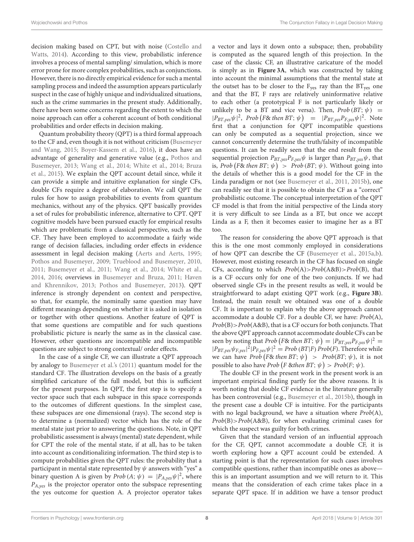decision making based on CPT, but with noise (Costello and Watts, [2014\)](#page-10-11). According to this view, probabilistic inference involves a process of mental sampling/ simulation, which is more error prone for more complex probabilities, such as conjunctions. However, there is no directly empirical evidence for such a mental sampling process and indeed the assumption appears particularly suspect in the case of highly unique and individualized situations, such as the crime summaries in the present study. Additionally, there have been some concerns regarding the extent to which the noise approach can offer a coherent account of both conditional probabilities and order effects in decision making.

Quantum probability theory (QPT) is a third formal approach to the CF and, even though it is not without criticism (Busemeyer and Wang, [2015;](#page-10-12) [Boyer-Kassem et al., 2016\)](#page-10-13), it does have an advantage of generality and generative value (e.g., Pothos and Busemeyer, [2013;](#page-11-30) [Wang et al., 2014;](#page-11-31) [White et al., 2014;](#page-11-32) Bruza et al., [2015\)](#page-10-14). We explain the QPT account detail since, while it can provide a simple and intuitive explanation for single CFs, double CFs require a degree of elaboration. We call QPT the rules for how to assign probabilities to events from quantum mechanics, without any of the physics. QPT basically provides a set of rules for probabilistic inference, alternative to CPT. QPT cognitive models have been pursued exactly for empirical results which are problematic from a classical perspective, such as the CF. They have been employed to accommodate a fairly wide range of decision fallacies, including order effects in evidence assessment in legal decision making [\(Aerts and Aerts, 1995;](#page-10-15) [Pothos and Busemeyer, 2009;](#page-11-33) [Trueblood and Busemeyer, 2010,](#page-11-34) [2011;](#page-11-35) [Busemeyer et al., 2011;](#page-10-5) [Wang et al., 2014;](#page-11-31) [White et al.,](#page-11-32) [2014,](#page-11-32) [2016;](#page-11-36) overviews in [Busemeyer and Bruza, 2011;](#page-10-16) Haven and Khrennikov, [2013;](#page-11-37) [Pothos and Busemeyer, 2013\)](#page-11-30). QPT inference is strongly dependent on context and perspective, so that, for example, the nominally same question may have different meanings depending on whether it is asked in isolation or together with other questions. Another feature of QPT is that some questions are compatible and for such questions probabilistic picture is nearly the same as in the classical case. However, other questions are incompatible and incompatible questions are subject to strong contextual/ order effects.

In the case of a single CF, we can illustrate a QPT approach by analogy to [Busemeyer et al.'s \(2011\)](#page-10-5) quantum model for the standard CF. The illustration develops on the basis of a greatly simplified caricature of the full model, but this is sufficient for the present purposes. In QPT, the first step is to specify a vector space such that each subspace in this space corresponds to the outcomes of different questions. In the simplest case, these subspaces are one dimensional (rays). The second step is to determine a (normalized) vector which has the role of the mental state just prior to answering the questions. Note, in QPT probabilistic assessment is always (mental) state dependent, while for CPT the role of the mental state, if at all, has to be taken into account as conditionalizing information. The third step is to compute probabilities given the QPT rules: the probability that a participant in mental state represented by  $\psi$  answers with "yes" a binary question A is given by *Prob*  $(A; \psi) = |P_{A, yes} \psi|^2$ , where  $P_{A,yes}$  is the projector operator onto the subspace representing the yes outcome for question A. A projector operator takes a vector and lays it down onto a subspace; then, probability is computed as the squared length of this projection. In the case of the classic CF, an illustrative caricature of the model is simply as in **[Figure 3A](#page-6-0)**, which was constructed by taking into account the minimal assumptions that the mental state at the outset has to be closer to the  $F_{\text{ves}}$  ray than the  $BT_{\text{ves}}$  one and that the BT, F rays are relatively uninformative relative to each other (a prototypical F is not particularly likely or unlikely to be a BT and vice versa). Then,  $Prob(BT; \psi)$  =  $|P_{BT,yes}\psi|^2$ , Prob  $(F\&$  then BT;  $\psi$ ) =  $|P_{BT,yes}P_{F,yes}\psi|^2$ . Note first that a conjunction for QPT incompatible questions can only be computed as a sequential projection, since we cannot concurrently determine the truth/falsity of incompatible questions. It can be readily seen that the end result from the sequential projection  $P_{BT,yes}P_{F,yes}\psi$  is larger than  $P_{BT,yes}\psi$ , that is, Prob (F& then BT;  $\psi$ ) > Prob (BT;  $\psi$ ). Without going into the details of whether this is a good model for the CF in the Linda paradigm or not (see [Busemeyer et al., 2011,](#page-10-5) [2015b\)](#page-10-10), one can readily see that it is possible to obtain the CF as a "correct" probabilistic outcome. The conceptual interpretation of the QPT CF model is that from the initial perspective of the Linda story it is very difficult to see Linda as a BT, but once we accept Linda as a F, then it becomes easier to imagine her as a BT too.

The reason for considering the above QPT approach is that this is the one most commonly employed in considerations of how QPT can describe the CF [\(Busemeyer et al., 2015a](#page-10-17)[,b\)](#page-10-10). However, most existing research in the CF has focused on single CFs, according to which  $Prob(A) > Prob(A \& B) > Prob(B)$ , that is a CF occurs only for one of the two conjuncts. If we had observed single CFs in the present results as well, it would be straightforward to adapt existing QPT work (e.g., **[Figure 3B](#page-6-0)**). Instead, the main result we obtained was one of a double CF. It is important to explain why the above approach cannot accommodate a double CF. For a double CF, we have: Prob(A),  $Prob(B)$  >  $Prob(A&B)$ , that is a CF occurs for both conjuncts. That the above QPT approach cannot accommodate double CFs can be seen by noting that *Prob* (*F& then BT*;  $\psi$ ) =  $|P_{BT,yes}P_{F,yes}\psi|^2$  =  $|P_{BT,yes}\psi_{F,yes}|^2|P_{F,yes}\psi|^2 = Prob(BT|F) Prob(F)$ . Therefore while we can have Prob (F& then BT;  $\psi$ ) > Prob(BT;  $\psi$ ), it is not possible to also have Prob (F &then BT;  $\psi$ ) > Prob(F;  $\psi$ ).

The double CF in the present work in the present work is an important empirical finding partly for the above reasons. It is worth noting that double CF evidence in the literature generally has been controversial (e.g., [Busemeyer et al., 2015b\)](#page-10-10), though in the present case a double CF is intuitive. For the participants with no legal background, we have a situation where  $Prob(A)$ ,  $Prob(B) > Prob(A&B)$ , for when evaluating criminal cases for which the suspect was guilty for both crimes.

Given that the standard version of an influential approach for the CF, QPT, cannot accommodate a double CF, it is worth exploring how a QPT account could be extended. A starting point is that the representation for such cases involves compatible questions, rather than incompatible ones as above this is an important assumption and we will return to it. This means that the consideration of each crime takes place in a separate QPT space. If in addition we have a tensor product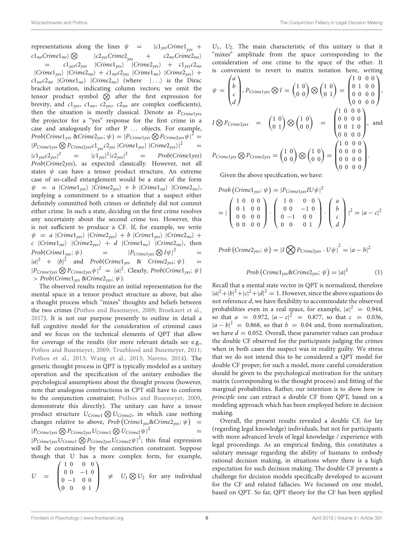Wojciechowski and Pothos The Conjunction Fallacy in Legal Decision Making

representations along the lines  $\psi$  =  $|c1_{yes}Crimel$ <sub>yes</sub> +  $c1_{no}Crimel_{no}\rangle\bigotimes$   $|c2_{yes}Crimel_{yes}$  +  $c2_{no}Crimel_{no}\rangle$  $=$   $c_1v_{\text{res}}c_2v_{\text{res}}$  |Crime1<sub>yes</sub>} |Crime2<sub>yes</sub>} +  $c_1v_{\text{res}}c_2v_{\text{res}}$  $|C$ rime $1_{\text{yes}}$   $|C$ rime $2_{\text{no}}$  + c $1_{\text{no}}$ c $2_{\text{ves}}$   $|C$ rime $1_{\text{no}}$   $|C$ rime $2_{\text{ves}}$  +  $c1_{no}c2_{no}$  |Crime $1_{no}$ } |Crime $2_{no}$ } (where | ...} is the Dirac bracket notation, indicating column vectors; we omit the tensor product symbol  $\otimes$  after the first expression for brevity, and  $c1_{yes}$ ,  $c1_{no}$ ,  $c2_{yes}$ ,  $c2_{no}$  are complex coefficients), then the situation is mostly classical. Denote as  $P_{Crimelves}$ the projector for a "yes" response for the first crime in a case and analogously for other P ... objects. For example, Prob(Crime $1_{yes}$  &Crime $2_{yes}$ ;  $\psi$ ) =  $|P_{Crimelyes} \bigotimes P_{Crimezyes} \psi|^{2}$  =  $|P_{Crimelyes} \bigotimes P_{Crimezyes} \mathcal{C}1_{yes} \mathcal{C}2_{yes} |Crimel_{yes}\rangle |Crimel_{yes}\rangle|^2 =$  $|c1_{\text{ves}}c2_{\text{ves}}|^2$ 2 =  $|c1_{yes}|^2|c2_{yes}|$  $= Prob(Crime1yes)$ Prob(Crime2yes), as expected classically. However, not all states  $\psi$  can have a tensor product structure. An extreme case of so-called entanglement would be a state of the form  $\psi$  = a |Crime1<sub>yes</sub>} |Crime2<sub>yes</sub>} + b |Crime1<sub>no</sub>} |Crime2<sub>no</sub>}, implying a commitment to a situation that a suspect either definitely committed both crimes or definitely did not commit either crime. In such a state, deciding on the first crime resolves any uncertainty about the second crime too. However, this is not sufficient to produce a CF. If, for example, we write  $\psi = a \vert Criminal_{\text{yes}} \vert \vert Criminal_{\text{yes}} \rangle + b \vert Criminal_{\text{yes}} \vert \vert Criminal_{\text{neg}} \rangle +$ c  $|C$ rime $1_{no}$   $|C$ rime $2_{yes}$  + d  $|C$ rime $1_{no}$   $|C$ rime $2_{no}$ , then  $Prob(Crimel_{yes}; \psi)$  =  $|P_{Crimelyes} \bigotimes I\psi|^2$  =  $|a|^2$  +  $|b|^2$  and *Prob*(Crime1<sub>yes</sub> & Crime2<sub>yes</sub>;  $\psi$ ) =  $|P_{Crimelyes} \bigotimes P_{Crimezyes} \psi |^2 = |a|^2$ . Clearly,  $Prob(Crimel_{yes}; \psi)$  $> Prob(Crimel_{\text{yes}} \& Crimel_{\text{yes}}; \psi).$ 

The observed results require an initial representation for the mental space in a tensor product structure as above, but also a thought process which "mixes" thoughts and beliefs between the two crimes [\(Pothos and Busemeyer, 2009;](#page-11-33) [Broekaert et al.,](#page-10-18) [2017\)](#page-10-18). It is not our purpose presently to outline in detail a full cognitive model for the consideration of criminal cases and we focus on the technical elements of QPT that allow for coverage of the results (for more relevant details see e.g., [Pothos and Busemeyer, 2009;](#page-11-33) [Trueblood and Busemeyer, 2011;](#page-11-35) [Pothos et al., 2013;](#page-11-38) [Wang et al., 2013;](#page-11-39) [Narens, 2014\)](#page-11-40). The generic thought process in QPT is typically modeled as a unitary operation and the specification of the unitary embodies the psychological assumptions about the thought process (however, note that analogous constructions in CPT still have to conform to the conjunction constraint; [Pothos and Busemeyer, 2009,](#page-11-33) demonstrate this directly). The unitary can have a tensor product structure  $U_{Crimel} \bigotimes U_{Crimel}$ , in which case nothing changes relative to above,  $Prob\left( Criminal_{yes} \& Criminal_{yes}; \, \psi\right)$  =  $|P_{Crimelyes}\bigotimes P_{Crimelyes} U_{Crimel}\bigotimes U_{Crimel}\psi|$  $2 =$ 

 $|P_{Crimelyes}U_{Crimel} \bigotimes P_{Crimelyes}U_{Crimel} \psi |^2$ ; this final expression will be constrained by the conjunction constraint. Suppose though that U has a more complex form, for example,

$$
U = \begin{pmatrix} 1 & 0 & 0 & 0 \\ 0 & 0 & -1 & 0 \\ 0 & -1 & 0 & 0 \\ 0 & 0 & 0 & 1 \end{pmatrix} \neq U_1 \bigotimes U_2 \text{ for any individual}
$$

 $U_1$ ,  $U_2$ . The main characteristic of this unitary is that it "mixes" amplitude from the space corresponding to the consideration of one crime to the space of the other. It is convenient to revert to matrix notation here, writing

$$
\psi = \begin{pmatrix} a \\ b \\ c \\ d \end{pmatrix}, P_{Crimelyes} \otimes I = \begin{pmatrix} 1 & 0 \\ 0 & 0 \end{pmatrix} \otimes \begin{pmatrix} 1 & 0 \\ 0 & 1 \end{pmatrix} = \begin{pmatrix} 1 & 0 & 0 & 0 \\ 0 & 1 & 0 & 0 \\ 0 & 0 & 0 & 0 \\ 0 & 0 & 0 & 0 \end{pmatrix},
$$
  
\n
$$
I \otimes P_{Crimezyes} = \begin{pmatrix} 1 & 0 \\ 0 & 1 \end{pmatrix} \otimes \begin{pmatrix} 1 & 0 \\ 0 & 0 \end{pmatrix} = \begin{pmatrix} 1 & 0 & 0 & 0 \\ 0 & 0 & 0 & 0 \\ 0 & 0 & 1 & 0 \\ 0 & 0 & 0 & 0 \end{pmatrix},
$$
 and  
\n
$$
P_{Crimelyes} \otimes P_{Crimezyes} = \begin{pmatrix} 1 & 0 \\ 0 & 0 \end{pmatrix} \otimes \begin{pmatrix} 1 & 0 \\ 0 & 0 \end{pmatrix} = \begin{pmatrix} 1 & 0 & 0 & 0 \\ 0 & 0 & 0 & 0 \\ 0 & 0 & 0 & 0 \\ 0 & 0 & 0 & 0 \end{pmatrix}.
$$

Given the above specification, we have:

Prob (Crimel<sub>yes</sub>; 
$$
\psi
$$
) =  $|P_{Crimelyes} I U \psi|^{2}$   
\n= $| \begin{pmatrix} 1 & 0 & 0 & 0 \\ 0 & 1 & 0 & 0 \\ 0 & 0 & 0 & 0 \\ 0 & 0 & 0 & 0 \end{pmatrix} \cdot \begin{pmatrix} 1 & 0 & 0 & 0 \\ 0 & 0 & -1 & 0 \\ 0 & -1 & 0 & 0 \\ 0 & 0 & 0 & 1 \end{pmatrix} \cdot \begin{pmatrix} a \\ b \\ c \\ d \end{pmatrix} |^{2} = |a - c|^{2}$ 

$$
Prob(Crime2_{yes}; \psi) = |I \bigotimes P_{Crime2yes} \cdot U\psi|^2 = |a - b|^2
$$

$$
Prob(Crimel_{yes} & Crimel_{yes}; \psi) = |a|^2 \tag{1}
$$

Recall that a mental state vector in QPT is normalized, therefore  $|a|^2 + |b|^2 + |c|^2 + |d|^2 = 1$ . However, since the above equations do not reference d, we have flexibility to accommodate the observed probabilities even in a real space, for example,  $|a|^2 = 0.944$ , so that  $a = 0.972$ ,  $|a - c|^2 = 0.877$ , so that  $c = 0.036$ ,  $|a - b|^2 = 0.868$ , so that  $b = 0.04$  and, from normalization, we have  $d = 0.052$ . Overall, these parameter values can produce the double CF observed for the participants judging the crimes when in both cases the suspect was in reality guilty. We stress that we do not intend this to be considered a QPT model for double CF proper; for such a model, more careful consideration should be given to the psychological motivation for the unitary matrix (corresponding to the thought process) and fitting of the marginal probabilities. Rather, our intention is to show how in principle one can extract a double CF from QPT, based on a modeling approach which has been employed before in decision making.

Overall, the present results revealed a double CF, for lay (regarding legal knowledge) individuals, but not for participants with more advanced levels of legal knowledge / experience with legal proceedings. As an empirical finding, this constitutes a salutary message regarding the ability of humans to embody rational decision making, in situations where there is a high expectation for such decision making. The double CF presents a challenge for decision models specifically developed to account for the CF and related fallacies. We focussed on one model, based on QPT. So far, QPT theory for the CF has been applied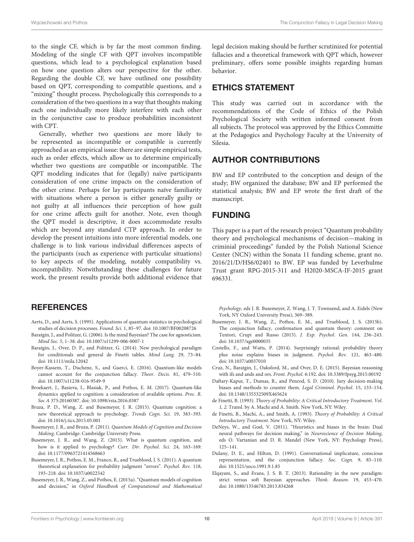to the single CF, which is by far the most common finding. Modeling of the single CF with QPT involves incompatible questions, which lead to a psychological explanation based on how one question alters our perspective for the other. Regarding the double CF, we have outlined one possibility based on QPT, corresponding to compatible questions, and a "mixing" thought process. Psychologically this corresponds to a consideration of the two questions in a way that thoughts making each one individually more likely interfere with each other in the conjunctive case to produce probabilities inconsistent with CPT.

Generally, whether two questions are more likely to be represented as incompatible or compatible is currently approached as an empirical issue: there are simple empirical tests, such as order effects, which allow us to determine empirically whether two questions are compatible or incompatible. The QPT modeling indicates that for (legally) naïve participants consideration of one crime impacts on the consideration of the other crime. Perhaps for lay participants naïve familiarity with situations where a person is either generally guilty or not guilty at all influences their perception of how guilt for one crime affects guilt for another. Note, even though the QPT model is descriptive, it does accommodate results which are beyond any standard CTP approach. In order to develop the present intuitions into more inferential models, one challenge is to link various individual differences aspects of the participants (such as experience with particular situations) to key aspects of the modeling, notably compatibility vs. incompatibility. Notwithstanding these challenges for future work, the present results provide both additional evidence that

## **REFERENCES**

- <span id="page-10-15"></span>Aerts, D., and Aerts, S. (1995). Applications of quantum statistics in psychological studies of decision processes. Found. Sci. 1, 85–97. doi: [10.1007/BF00208726](https://doi.org/10.1007/BF00208726)
- <span id="page-10-7"></span>Baratgin, J., and Politzer, G. (2006). Is the mind Bayesian? The case for agnosticism. Mind Soc. 5, 1–38. doi: [10.1007/s11299-006-0007-1](https://doi.org/10.1007/s11299-006-0007-1)
- <span id="page-10-1"></span>Baratgin, J., Over, D. P., and Politzer, G. (2014). New psychological paradigm for conditionals and general de Finetti tables. Mind Lang. 29, 73–84. doi: [10.1111/mila.12042](https://doi.org/10.1111/mila.12042)
- <span id="page-10-13"></span>Boyer-Kassem, T., Duchene, S., and Guerci, E. (2016). Quantum-like models cannot account for the conjunction fallacy. Theor. Decis. 81, 479–510. doi: [10.1007/s11238-016-9549-9](https://doi.org/10.1007/s11238-016-9549-9)
- <span id="page-10-18"></span>Broekaert, J., Basieva, I., Blasiak, P., and Pothos, E. M. (2017). Quantum-like dynamics applied to cognition: a consideration of available options. Proc. R. Soc A 375:20160387. doi: [10.1098/rsta.2016.0387](https://doi.org/10.1098/rsta.2016.0387)
- <span id="page-10-14"></span>Bruza, P. D., Wang, Z. and Busemeyer, J. R. (2015). Quantum cognition: a new theoretical approach to psychology. Trends Cogn. Sci. 19, 383–393. doi: [10.1016/j.tics.2015.05.001](https://doi.org/10.1016/j.tics.2015.05.001)
- <span id="page-10-16"></span>Busemeyer, J. R., and Bruza, P. (2011). Quantum Models of Cognition and Decision Making. Cambridge: Cambridge University Press.
- <span id="page-10-12"></span>Busemeyer, J. R., and Wang, Z. (2015). What is quantum cognition, and how is it applied to psychology? Curr. Dir. Psychol. Sci. 24, 163–169. doi: [10.1177/0963721414568663](https://doi.org/10.1177/0963721414568663)
- <span id="page-10-5"></span>Busemeyer, J. R., Pothos, E. M., Franco, R., and Trueblood, J. S. (2011). A quantum theoretical explanation for probability judgment "errors". Psychol. Rev. 118, 193–218. doi: [10.1037/a0022542](https://doi.org/10.1037/a0022542)
- <span id="page-10-17"></span>Busemeyer, J. R., Wang, Z., and Pothos, E. (2015a). "Quantum models of cognition and decision," in Oxford Handbook of Computational and Mathematical

legal decision making should be further scrutinized for potential fallacies and a theoretical framework with QPT which, however preliminary, offers some possible insights regarding human behavior.

### ETHICS STATEMENT

This study was carried out in accordance with the recommendations of the Code of Ethics of the Polish Psychological Society with written informed consent from all subjects. The protocol was approved by the Ethics Committe at the Pedagogics and Psychology Faculty at the University of Silesia.

### AUTHOR CONTRIBUTIONS

BW and EP contributed to the conception and design of the study; BW organized the database; BW and EP performed the statistical analysis; BW and EP wrote the first draft of the manuscript.

### FUNDING

This paper is a part of the research project "Quantum probability theory and psychological mechanisms of decision—making in criminial proceedings" funded by the Polish National Science Center (NCN) within the Sonata 11 funding scheme, grant no. 2016/21/D/HS6/02401 to BW. EP was funded by Leverhulme Trust grant RPG-2015-311 and H2020-MSCA-IF-2015 grant 696331.

Psychology, eds J. R. Busemeyer, Z. Wang, J. T. Townsend, and A. Eidels (New York, NY Oxford University Press), 369–389.

- <span id="page-10-10"></span>Busemeyer, J. R., Wang, Z., Pothos, E. M., and Trueblood, J. S. (2015b). The conjunction fallacy, confirmation and quantum theory: comment on Tentori, Crupi and Russo (2013). J. Exp. Psychol. Gen. 144, 236–243. doi: [10.1037/xge0000035](https://doi.org/10.1037/xge0000035)
- <span id="page-10-11"></span>Costello, F., and Watts, P. (2014). Surprisingly rational: probability theory plus noise explains biases in judgment. Psychol. Rev. 121, 463–480. doi: [10.1037/a0037010](https://doi.org/10.1037/a0037010)
- <span id="page-10-2"></span>Cruz, N., Baratgin, J., Oaksford, M., and Over, D. E. (2015). Bayesian reasoning with ifs and ands and ors. Front. Psychol. 6:192. doi: [10.3389/fpsyg.2015.00192](https://doi.org/10.3389/fpsyg.2015.00192)
- <span id="page-10-0"></span>Daftary-Kapur, T., Dumas, R., and Penrod, S. D. (2010). Jury decision-making biases and methods to counter them. Legal Criminol. Psychol. 15, 133–154. doi: [10.1348/135532509X465624](https://doi.org/10.1348/135532509X465624)
- <span id="page-10-4"></span>de Finetti, B. (1993). Theory of Probability: A Critical Introductory Treatment. Vol. 1, 2. Transl. by A. Machi and A. Smith. New York, NY: Wiley.
- <span id="page-10-3"></span>de Finetti, B., Machi, A., and Smith, A. (1993). Theory of Probability: A Critical Introductory Treatment. New York, NY: Wiley.
- <span id="page-10-8"></span>DeNeys, W., and Goel, V. (2011). "Heuristics and biases in the brain: Dual neural pathways for decision making," in Neuroscience of Decision Making, eds O. Vartanian and D. R. Mandel (New York, NY: Psychology Press), 125–141.
- <span id="page-10-6"></span>Dulany, D. E., and Hilton, D. (1991). Conversational implicature, conscious representation, and the conjunction fallacy. Soc. Cogn. 9, 85–110. doi: [10.1521/soco.1991.9.1.85](https://doi.org/10.1521/soco.1991.9.1.85)
- <span id="page-10-9"></span>Elqayam, S., and Evans, J. S. B. T. (2013). Rationality in the new paradigm: strict versus soft Bayesian approaches. Think. Reason. 19, 453–470. doi: [10.1080/13546783.2013.834268](https://doi.org/10.1080/13546783.2013.834268)